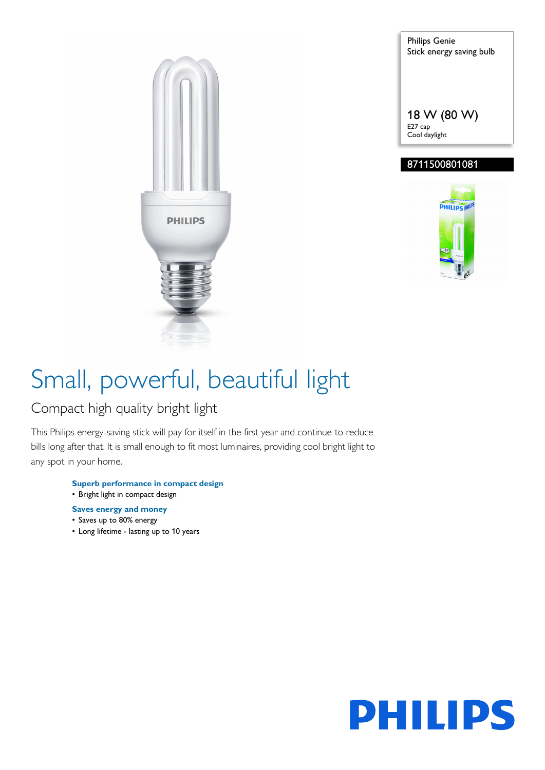

Philips Genie Stick energy saving bulb 18 W (80 W)

### 8711500801081

E27 cap Cool daylight



# Small, powerful, beautiful light

### Compact high quality bright light

This Philips energy-saving stick will pay for itself in the first year and continue to reduce bills long after that. It is small enough to fit most luminaires, providing cool bright light to any spot in your home.

- **Superb performance in compact design** • Bright light in compact design
- **Saves energy and money**
- Saves up to 80% energy
- Long lifetime lasting up to 10 years